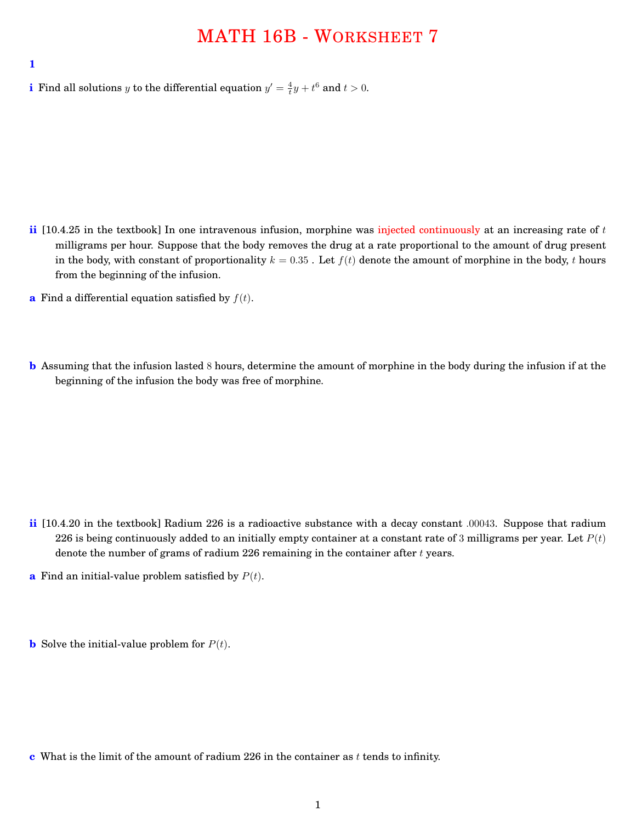## MATH 16B - WORKSHEET 7

**1**

**i** Find all solutions *y* to the differential equation  $y' = \frac{4}{t}y + t^6$  and  $t > 0$ .

- **ii** [10.4.25 in the textbook] In one intravenous infusion, morphine was injected continuously at an increasing rate of *t* milligrams per hour. Suppose that the body removes the drug at a rate proportional to the amount of drug present in the body, with constant of proportionality  $k = 0.35$ . Let  $f(t)$  denote the amount of morphine in the body, *t* hours from the beginning of the infusion.
- **a** Find a differential equation satisfied by  $f(t)$ .
- **b** Assuming that the infusion lasted 8 hours, determine the amount of morphine in the body during the infusion if at the beginning of the infusion the body was free of morphine.

- **ii** [10.4.20 in the textbook] Radium 226 is a radioactive substance with a decay constant *.*00043. Suppose that radium 226 is being continuously added to an initially empty container at a constant rate of 3 milligrams per year. Let  $P(t)$ denote the number of grams of radium 226 remaining in the container after *t* years.
- **a** Find an initial-value problem satisfied by *P*(*t*).
- **b** Solve the initial-value problem for  $P(t)$ .

**c** What is the limit of the amount of radium 226 in the container as *t* tends to infinity.